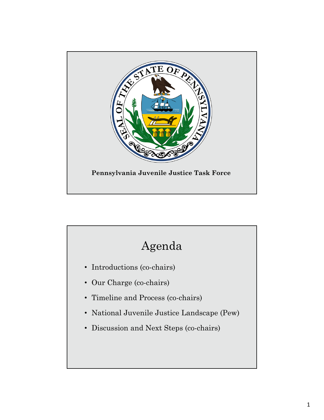

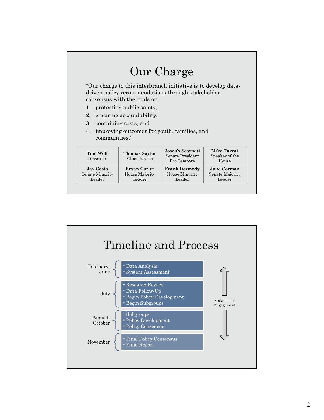# Our Charge

"Our charge to this interbranch initiative is to develop datadriven policy recommendations through stakeholder consensus with the goals of:

- 1. protecting public safety,
- 2. ensuring accountability,
- 3. containing costs, and
- 4. improving outcomes for youth, families, and communities."

| <b>Tom Wolf</b><br>Governor | <b>Thomas Saylor</b><br>Chief Justice | Joseph Scarnati<br>Senate President<br>Pro Tempore | Mike Turzai<br>Speaker of the<br>House |
|-----------------------------|---------------------------------------|----------------------------------------------------|----------------------------------------|
| Jay Costa                   | Bryan Cutler                          | <b>Frank Dermody</b>                               | <b>Jake Corman</b>                     |
| Senate Minority             | House Majority                        | House Minority                                     | Senate Majority                        |
| Leader                      | Leader                                | Leader                                             | Leader                                 |

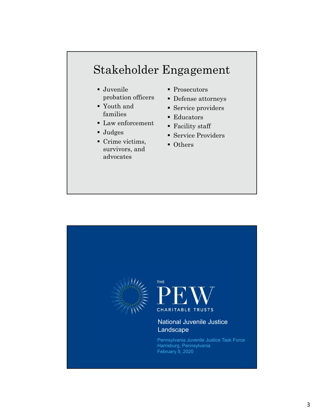# Stakeholder Engagement

- Juvenile probation officers
- Youth and families
- **Law enforcement**
- Judges
- Crime victims, survivors, and advocates
- Prosecutors
- Defense attorneys
- **Service providers**
- **Educators**
- Facility staff
- Service Providers
- Others

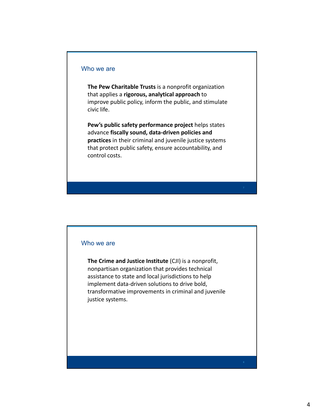#### Who we are

**The Pew Charitable Trusts** is a nonprofit organization that applies a **rigorous, analytical approach** to improve public policy, inform the public, and stimulate civic life.

**Pew's public safety performance project** helps states advance **fiscally sound, data‐driven policies and practices** in their criminal and juvenile justice systems that protect public safety, ensure accountability, and control costs.

#### Who we are

**The Crime and Justice Institute** (CJI) is a nonprofit, nonpartisan organization that provides technical assistance to state and local jurisdictions to help implement data‐driven solutions to drive bold, transformative improvements in criminal and juvenile justice systems.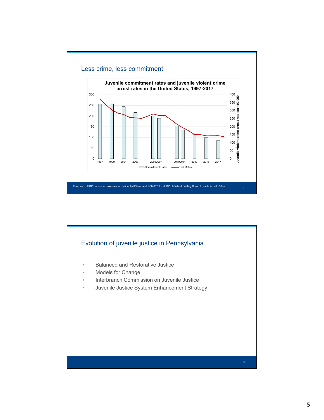

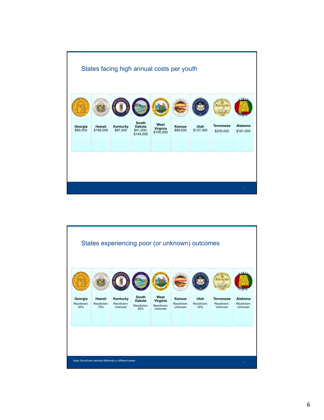

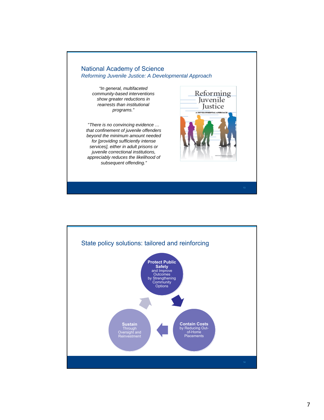

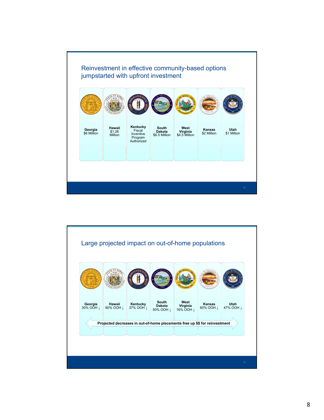

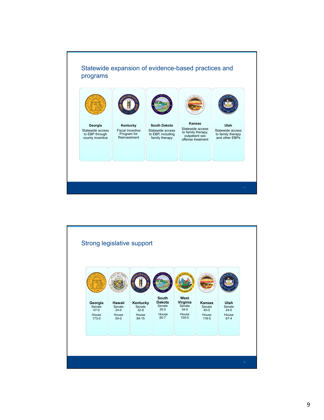

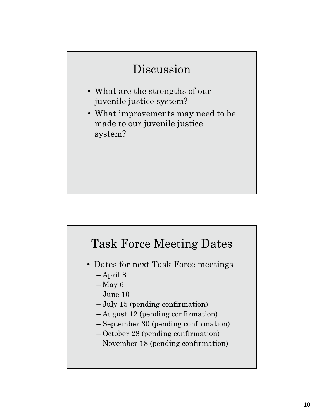## Discussion

- What are the strengths of our juvenile justice system?
- What improvements may need to be made to our juvenile justice system?

# Task Force Meeting Dates

- Dates for next Task Force meetings – April 8
	- $-$ May 6
	- June 10
	- July 15 (pending confirmation)
	- August 12 (pending confirmation)
	- September 30 (pending confirmation)
	- October 28 (pending confirmation)
	- November 18 (pending confirmation)